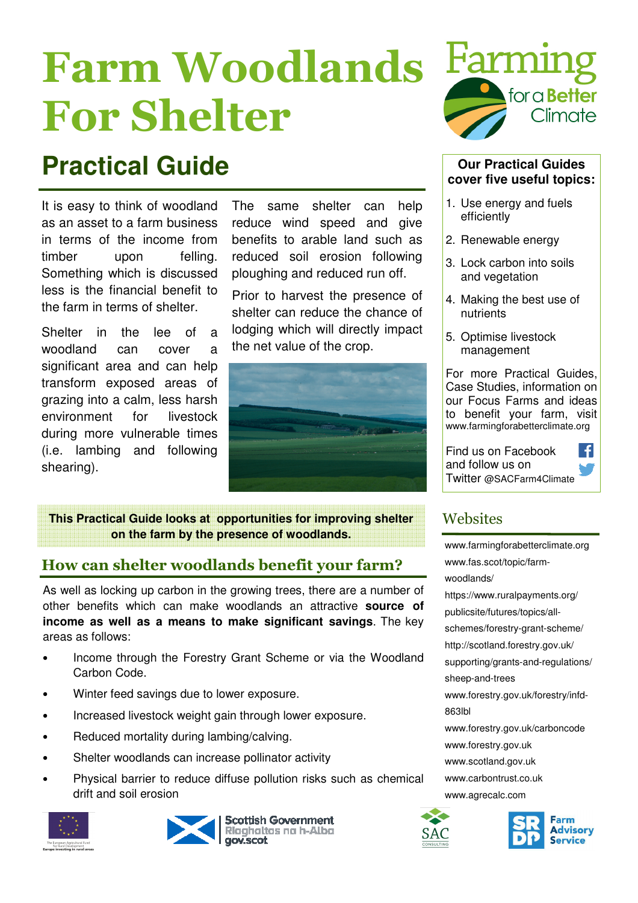# Farm Woodlands For Shelter

## **Practical Guide** *Our Practical Guides*

It is easy to think of woodland as an asset to a farm business in terms of the income from timber upon felling. Something which is discussed less is the financial benefit to the farm in terms of shelter.

Shelter in the lee of a woodland can cover a significant area and can help transform exposed areas of grazing into a calm, less harsh environment for livestock during more vulnerable times (i.e. lambing and following shearing).

The same shelter can help reduce wind speed and give benefits to arable land such as reduced soil erosion following ploughing and reduced run off.

Prior to harvest the presence of shelter can reduce the chance of lodging which will directly impact the net value of the crop.



**This Practical Guide looks at opportunities for improving shelter Websites on the farm by the presence of woodlands.** 

### How can shelter woodlands benefit your farm?

As well as locking up carbon in the growing trees, there are a number of other benefits which can make woodlands an attractive **source of income as well as a means to make significant savings**. The key areas as follows:

- Income through the Forestry Grant Scheme or via the Woodland Carbon Code.
- Winter feed savings due to lower exposure.
- Increased livestock weight gain through lower exposure.
- Reduced mortality during lambing/calving.
- Shelter woodlands can increase pollinator activity
- Physical barrier to reduce diffuse pollution risks such as chemical drift and soil erosion









### **cover five useful topics:**

- 1. Use energy and fuels efficiently
- 2. Renewable energy
- 3. Lock carbon into soils and vegetation
- 4. Making the best use of nutrients
- 5. Optimise livestock management

For more Practical Guides, Case Studies, information on our Focus Farms and ideas to benefit your farm, visit www.farmingforabetterclimate.org

Find us on Facebook -fl and follow us on Twitter @SACFarm4Climate

www.farmingforabetterclimate.org www.fas.scot/topic/farmwoodlands/ https://www.ruralpayments.org/ publicsite/futures/topics/allschemes/forestry-grant-scheme/ http://scotland.forestry.gov.uk/ supporting/grants-and-regulations/ sheep-and-trees www.forestry.gov.uk/forestry/infd-863lbl www.forestry.gov.uk/carboncode www.forestry.gov.uk www.scotland.gov.uk www.carbontrust.co.uk www.agrecalc.com